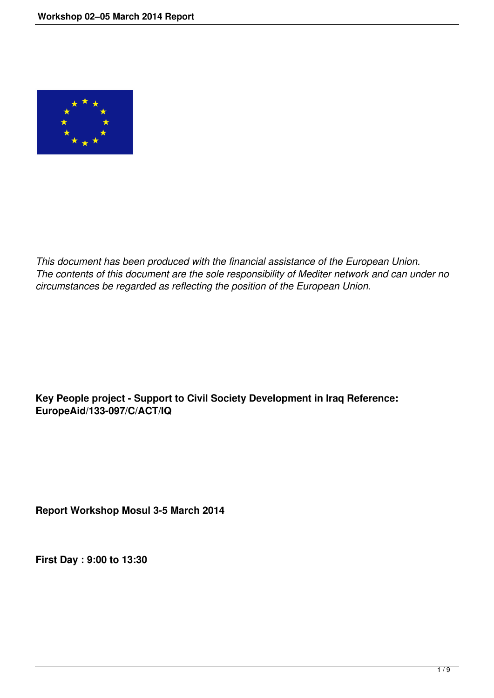

*This document has been produced with the financial assistance of the European Union. The contents of this document are the sole responsibility of Mediter network and can under no circumstances be regarded as reflecting the position of the European Union.*

## **Key People project - Support to Civil Society Development in Iraq Reference: EuropeAid/133-097/C/ACT/IQ**

**Report Workshop Mosul 3-5 March 2014** 

**First Day : 9:00 to 13:30**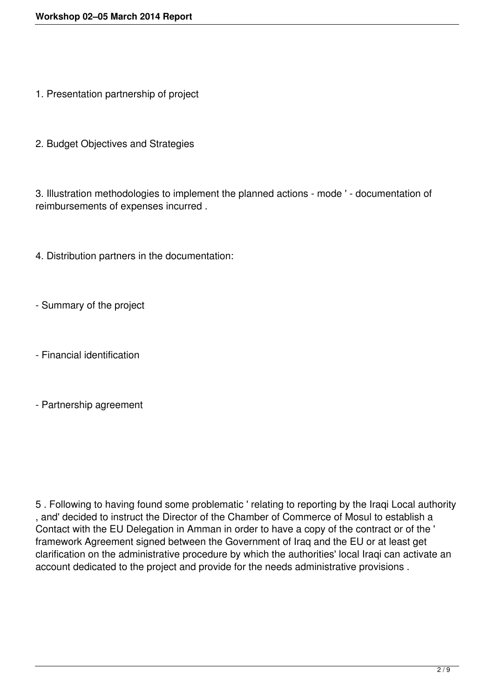- 1. Presentation partnership of project
- 2. Budget Objectives and Strategies

3. Illustration methodologies to implement the planned actions - mode ' - documentation of reimbursements of expenses incurred .

- 4. Distribution partners in the documentation:
- Summary of the project
- Financial identification
- Partnership agreement

5 . Following to having found some problematic ' relating to reporting by the Iraqi Local authority , and' decided to instruct the Director of the Chamber of Commerce of Mosul to establish a Contact with the EU Delegation in Amman in order to have a copy of the contract or of the ' framework Agreement signed between the Government of Iraq and the EU or at least get clarification on the administrative procedure by which the authorities' local Iraqi can activate an account dedicated to the project and provide for the needs administrative provisions .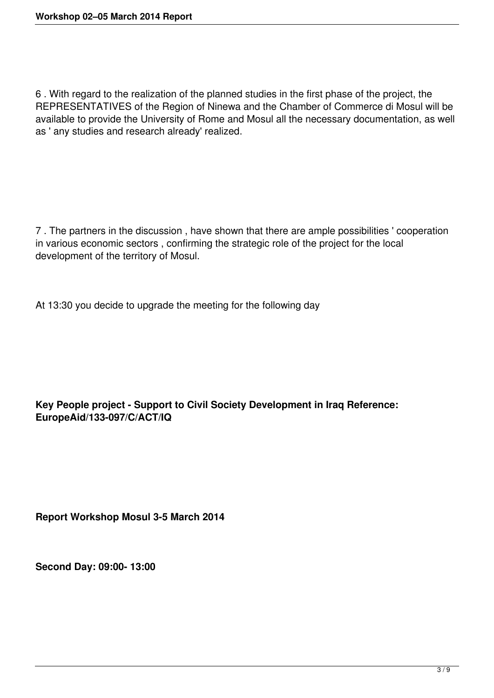6 . With regard to the realization of the planned studies in the first phase of the project, the REPRESENTATIVES of the Region of Ninewa and the Chamber of Commerce di Mosul will be available to provide the University of Rome and Mosul all the necessary documentation, as well as ' any studies and research already' realized.

7 . The partners in the discussion , have shown that there are ample possibilities ' cooperation in various economic sectors , confirming the strategic role of the project for the local development of the territory of Mosul.

At 13:30 you decide to upgrade the meeting for the following day

## **Key People project - Support to Civil Society Development in Iraq Reference: EuropeAid/133-097/C/ACT/IQ**

**Report Workshop Mosul 3-5 March 2014** 

**Second Day: 09:00- 13:00**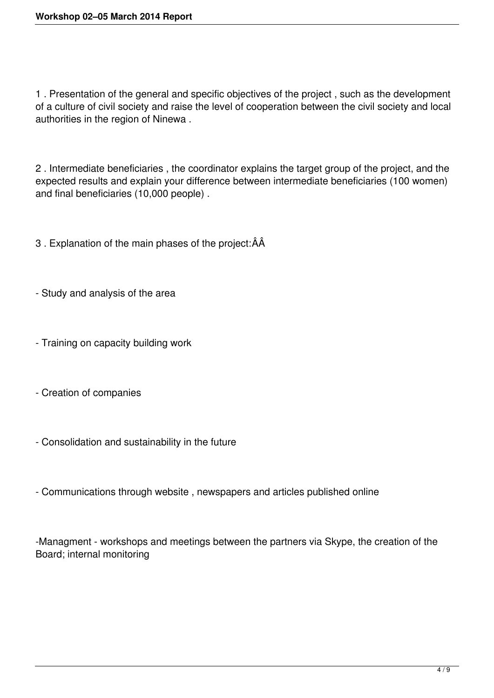1 . Presentation of the general and specific objectives of the project , such as the development of a culture of civil society and raise the level of cooperation between the civil society and local authorities in the region of Ninewa .

2 . Intermediate beneficiaries , the coordinator explains the target group of the project, and the expected results and explain your difference between intermediate beneficiaries (100 women) and final beneficiaries (10,000 people) .

3 . Explanation of the main phases of the project:ÂÂ

- Study and analysis of the area
- Training on capacity building work
- Creation of companies
- Consolidation and sustainability in the future
- Communications through website , newspapers and articles published online

-Managment - workshops and meetings between the partners via Skype, the creation of the Board; internal monitoring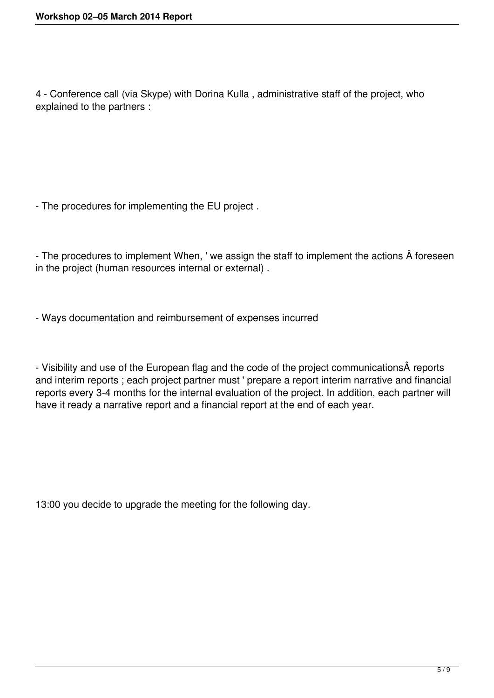4 - Conference call (via Skype) with Dorina Kulla , administrative staff of the project, who explained to the partners :

- The procedures for implementing the EU project .

- The procedures to implement When, ' we assign the staff to implement the actions  $\hat{A}$  foreseen in the project (human resources internal or external) .

- Ways documentation and reimbursement of expenses incurred

- Visibility and use of the European flag and the code of the project communicationsA reports and interim reports ; each project partner must ' prepare a report interim narrative and financial reports every 3-4 months for the internal evaluation of the project. In addition, each partner will have it ready a narrative report and a financial report at the end of each year.

13:00 you decide to upgrade the meeting for the following day.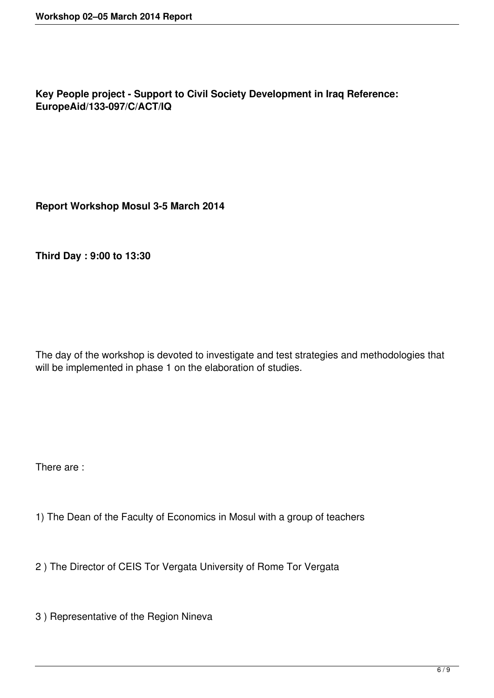**Key People project - Support to Civil Society Development in Iraq Reference: EuropeAid/133-097/C/ACT/IQ**

**Report Workshop Mosul 3-5 March 2014**

**Third Day : 9:00 to 13:30**

The day of the workshop is devoted to investigate and test strategies and methodologies that will be implemented in phase 1 on the elaboration of studies.

There are :

- 1) The Dean of the Faculty of Economics in Mosul with a group of teachers
- 2 ) The Director of CEIS Tor Vergata University of Rome Tor Vergata
- 3 ) Representative of the Region Nineva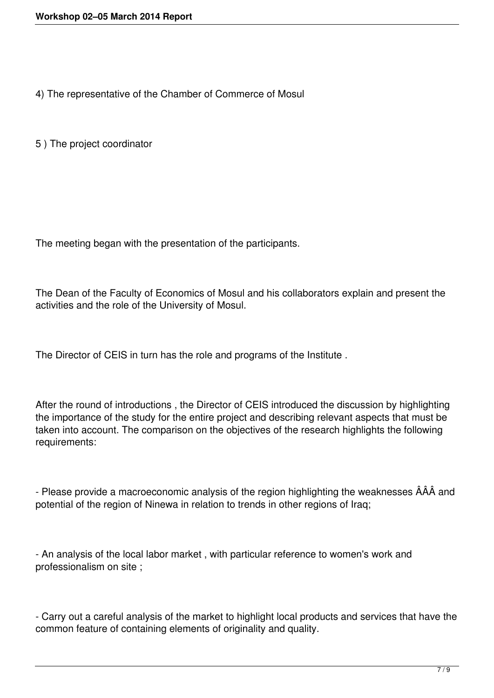4) The representative of the Chamber of Commerce of Mosul

5 ) The project coordinator

The meeting began with the presentation of the participants.

The Dean of the Faculty of Economics of Mosul and his collaborators explain and present the activities and the role of the University of Mosul.

The Director of CEIS in turn has the role and programs of the Institute .

After the round of introductions , the Director of CEIS introduced the discussion by highlighting the importance of the study for the entire project and describing relevant aspects that must be taken into account. The comparison on the objectives of the research highlights the following requirements:

- Please provide a macroeconomic analysis of the region highlighting the weaknesses ÂÂÂ and potential of the region of Ninewa in relation to trends in other regions of Iraq;

- An analysis of the local labor market , with particular reference to women's work and professionalism on site ;

- Carry out a careful analysis of the market to highlight local products and services that have the common feature of containing elements of originality and quality.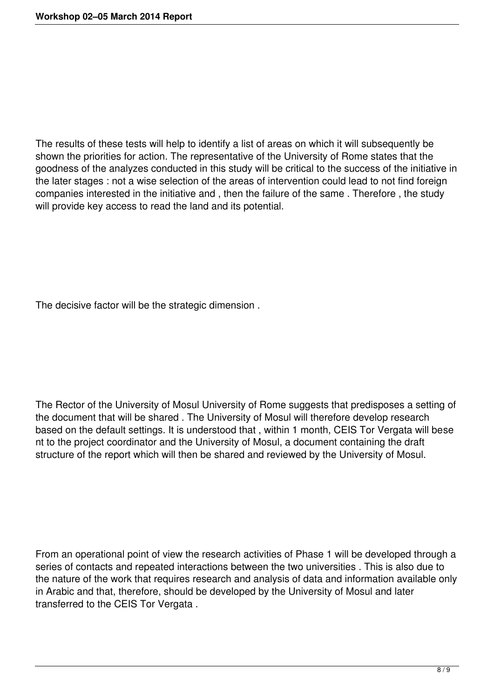The results of these tests will help to identify a list of areas on which it will subsequently be shown the priorities for action. The representative of the University of Rome states that the goodness of the analyzes conducted in this study will be critical to the success of the initiative in the later stages : not a wise selection of the areas of intervention could lead to not find foreign companies interested in the initiative and , then the failure of the same . Therefore , the study will provide key access to read the land and its potential.

The decisive factor will be the strategic dimension .

The Rector of the University of Mosul University of Rome suggests that predisposes a setting of the document that will be shared . The University of Mosul will therefore develop research based on the default settings. It is understood that , within 1 month, CEIS Tor Vergata will bese nt to the project coordinator and the University of Mosul, a document containing the draft structure of the report which will then be shared and reviewed by the University of Mosul.

From an operational point of view the research activities of Phase 1 will be developed through a series of contacts and repeated interactions between the two universities . This is also due to the nature of the work that requires research and analysis of data and information available only in Arabic and that, therefore, should be developed by the University of Mosul and later transferred to the CEIS Tor Vergata .